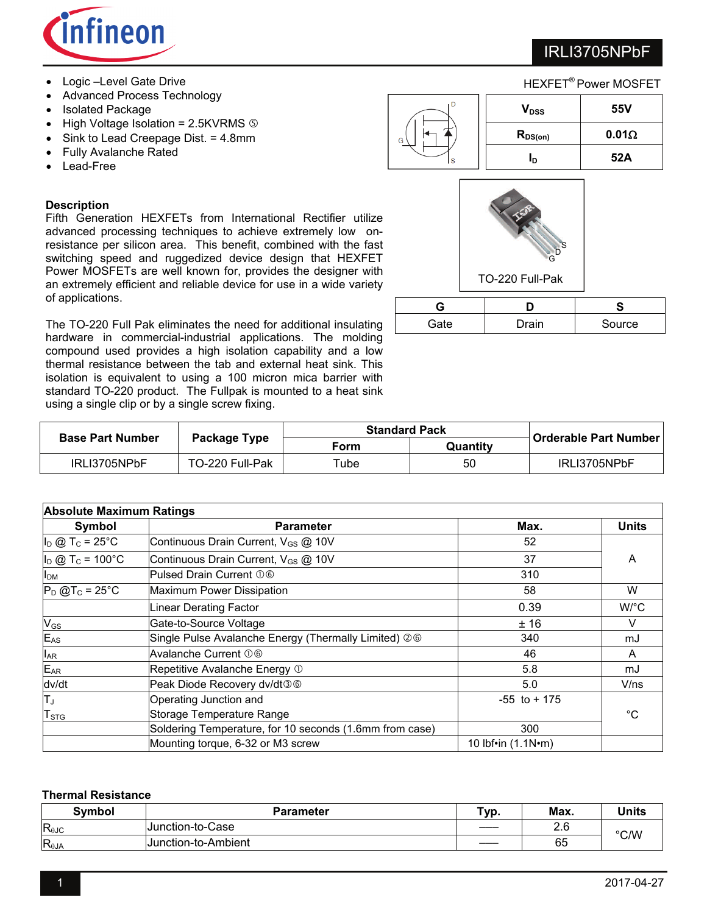

- Logic –Level Gate Drive
- Advanced Process Technology
- Isolated Package
- $\bullet$  High Voltage Isolation = 2.5KVRMS  $\circledcirc$
- Sink to Lead Creepage Dist. = 4.8mm
- Fully Avalanche Rated
- Lead-Free

### **Description**

Fifth Generation HEXFETs from International Rectifier utilize advanced processing techniques to achieve extremely low onresistance per silicon area. This benefit, combined with the fast switching speed and ruggedized device design that HEXFET Power MOSFETs are well known for, provides the designer with an extremely efficient and reliable device for use in a wide variety of applications.

The TO-220 Full Pak eliminates the need for additional insulating hardware in commercial-industrial applications. The molding compound used provides a high isolation capability and a low thermal resistance between the tab and external heat sink. This isolation is equivalent to using a 100 micron mica barrier with standard TO-220 product. The Fullpak is mounted to a heat sink using a single clip or by a single screw fixing.

|   | <b>HEXFET<sup>®</sup> Power MOSFET</b> |              |  |  |
|---|----------------------------------------|--------------|--|--|
|   | V <sub>DSS</sub>                       | 55V          |  |  |
| G | $R_{DS(on)}$                           | $0.01\Omega$ |  |  |
|   | In                                     | 52A          |  |  |



| Gate | Drain | Source |
|------|-------|--------|

|                         |                 | <b>Standard Pack</b> |          |                       |
|-------------------------|-----------------|----------------------|----------|-----------------------|
| <b>Base Part Number</b> | Package Type    | Form                 | Quantitv | Orderable Part Number |
| IRLI3705NPbF            | TO-220 Full-Pak | Tube                 | 50       | IRLI3705NPbF          |

| <b>Absolute Maximum Ratings</b> |                                                         |                            |              |  |  |
|---------------------------------|---------------------------------------------------------|----------------------------|--------------|--|--|
| Symbol                          | <b>Parameter</b>                                        | Max.                       | <b>Units</b> |  |  |
| $I_D$ @ T <sub>c</sub> = 25°C   | Continuous Drain Current, V <sub>GS</sub> @ 10V         | 52                         |              |  |  |
| $I_D @ T_C = 100°C$             | Continuous Drain Current, V <sub>GS</sub> @ 10V         | 37                         | A            |  |  |
| <b>I</b> <sub>DM</sub>          | Pulsed Drain Current 06                                 | 310                        |              |  |  |
| $P_D$ @T <sub>c</sub> = 25°C    | Maximum Power Dissipation                               | 58                         | W            |  |  |
|                                 | Linear Derating Factor                                  | 0.39                       | W/°C         |  |  |
| $V_{GS}$                        | Gate-to-Source Voltage                                  | ±16                        | V            |  |  |
| $E_{AS}$                        | Single Pulse Avalanche Energy (Thermally Limited) 26    | 340                        | mJ           |  |  |
| $I_{AR}$                        | Avalanche Current 06                                    | 46                         | A            |  |  |
| $E_{AR}$                        | Repetitive Avalanche Energy 1                           | 5.8                        | mJ           |  |  |
| dv/dt                           | Peak Diode Recovery dv/dt36                             | 5.0                        | V/ns         |  |  |
| Tυ                              | Operating Junction and                                  | $-55$ to $+175$            |              |  |  |
| ${\sf T}_{\text{STG}}$          | Storage Temperature Range                               |                            | °C           |  |  |
|                                 | Soldering Temperature, for 10 seconds (1.6mm from case) | 300                        |              |  |  |
|                                 | Mounting torque, 6-32 or M3 screw                       | 10 lbf•in $(1.1N \cdot m)$ |              |  |  |

#### **Thermal Resistance**

| <b>Symbol</b>  | <b>Parameter</b>    | vp. | Max. | <b>Units</b> |
|----------------|---------------------|-----|------|--------------|
| $R_{0JC}$      | Junction-to-Case    |     | 2.6  | °C/W         |
| $R_{\theta$ JA | Junction-to-Ambient |     | 65   |              |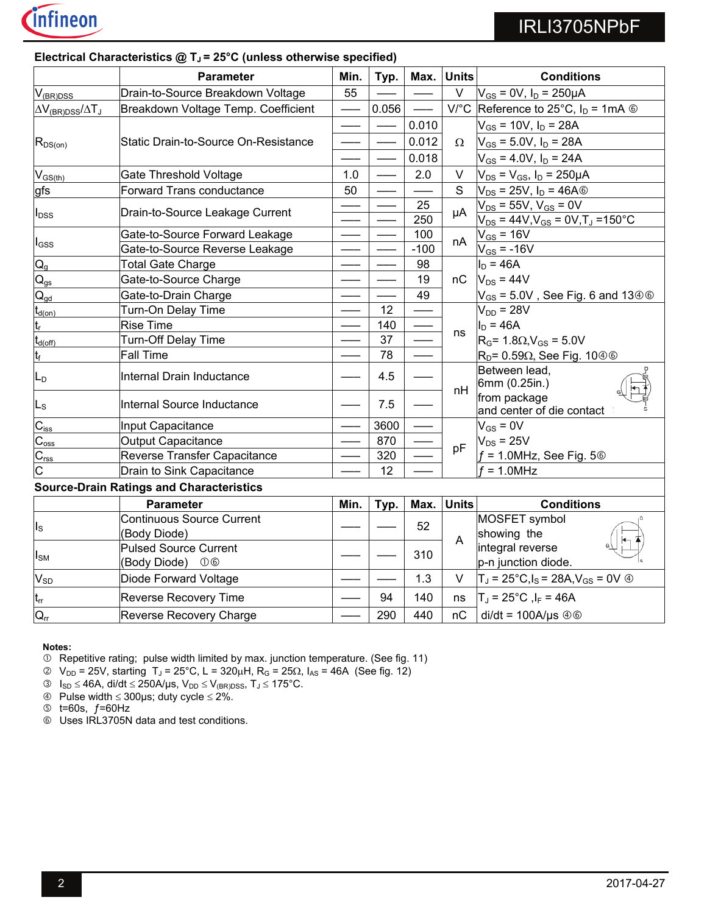

|                                        | <b>Parameter</b>                                 | Min. | Typ.  | Max.   | <b>Units</b>   | <b>Conditions</b>                                                     |
|----------------------------------------|--------------------------------------------------|------|-------|--------|----------------|-----------------------------------------------------------------------|
| $V_{(BR)DSS}$                          | Drain-to-Source Breakdown Voltage                | 55   |       |        | $\vee$         | $V_{GS}$ = 0V, $I_D$ = 250µA                                          |
| $\Delta V_{(BR)DSS}/\Delta T_J$        | Breakdown Voltage Temp. Coefficient              |      | 0.056 |        |                | V/°C Reference to 25°C, $I_D = 1 \text{mA} \circledcirc$              |
|                                        |                                                  |      |       | 0.010  |                | $V_{GS}$ = 10V, $I_D$ = 28A                                           |
| $R_{DS(on)}$                           | Static Drain-to-Source On-Resistance             |      |       | 0.012  | $\Omega$       | $V_{GS}$ = 5.0V, $I_D$ = 28A                                          |
|                                        |                                                  |      |       | 0.018  |                | $V_{GS}$ = 4.0V, $I_D$ = 24A                                          |
| $V_{GS(th)}$                           | <b>Gate Threshold Voltage</b>                    | 1.0  |       | 2.0    | $\vee$         | $V_{DS}$ = $V_{GS}$ , $I_D$ = 250µA                                   |
| gfs                                    | Forward Trans conductance                        | 50   |       |        | S              | $V_{DS}$ = 25V, $I_D$ = 46A $\circledcirc$                            |
|                                        |                                                  |      |       | 25     | μA             | $V_{DS}$ = 55V, $V_{GS}$ = 0V                                         |
| $I_{DSS}$                              | Drain-to-Source Leakage Current                  |      |       | 250    |                | $V_{DS}$ = 44V, $V_{GS}$ = 0V, T <sub>J</sub> = 150 °C                |
|                                        | Gate-to-Source Forward Leakage                   |      |       | 100    | nA             | $V_{GS}$ = 16V                                                        |
| $I_{GSS}$                              | Gate-to-Source Reverse Leakage                   |      |       | $-100$ |                | $V_{GS} = -16V$                                                       |
| $Q_{q}$                                | <b>Total Gate Charge</b>                         |      |       | 98     |                | $I_{D} = 46A$                                                         |
| $\mathsf{Q}_{\underline{\mathsf{gs}}}$ | Gate-to-Source Charge                            |      |       | 19     | пC             | $V_{DS}$ = 44V                                                        |
| $\mathsf{Q}_{\underline{\mathsf{qd}}}$ | Gate-to-Drain Charge                             |      |       | 49     |                | $V_{GS}$ = 5.0V, See Fig. 6 and 13 $\circledcirc$                     |
| $\mathsf{t}_{\mathsf{d}(\mathsf{on})}$ | Turn-On Delay Time                               |      | 12    |        |                | $V_{DD} = 28V$                                                        |
| $\mathfrak{t}_{\mathsf{r}}$            | <b>Rise Time</b>                                 |      | 140   |        |                | $I_D = 46A$                                                           |
| $t_{d(\rm off)}$                       | <b>Turn-Off Delay Time</b>                       |      | 37    |        | ns             | $R_G$ = 1.8 $\Omega$ , $V_{GS}$ = 5.0V                                |
| t <sub>f</sub>                         | <b>Fall Time</b>                                 |      | 78    |        |                | $\mathsf{R}_{\mathsf{D}}$ = 0.59 $\Omega$ , See Fig. 10 $\circledast$ |
| Lр                                     | Internal Drain Inductance                        |      | 4.5   |        | nH             | Between lead,<br>6mm (0.25in.)                                        |
| Ls                                     | Internal Source Inductance                       |      | 7.5   |        |                | from package<br>and center of die contact                             |
| $C_{iss}$                              | Input Capacitance                                |      | 3600  |        |                | $V_{GS} = 0V$                                                         |
| $C_{\rm oss}$                          | <b>Output Capacitance</b>                        |      | 870   |        | pF             | $V_{DS}$ = 25V                                                        |
| C <sub>rss</sub>                       | Reverse Transfer Capacitance                     |      | 320   |        |                | $f = 1.0$ MHz, See Fig. 5 $\circledcirc$                              |
| $\overline{\rm c}$                     | Drain to Sink Capacitance                        |      | 12    |        |                | $f = 1.0$ MHz                                                         |
|                                        | <b>Source-Drain Ratings and Characteristics</b>  |      |       |        |                |                                                                       |
|                                        | <b>Parameter</b>                                 | Min. | Typ.  | Max.   | <b>Units</b>   | <b>Conditions</b>                                                     |
| $I_{\rm S}$                            | <b>Continuous Source Current</b><br>(Body Diode) |      |       | 52     | $\overline{A}$ | MOSFET symbol<br>showing the                                          |
| $I_{SM}$                               | <b>Pulsed Source Current</b><br>(Body Diode) 06  |      |       | 310    |                | integral reverse<br>p-n junction diode.                               |
| $V_{SD}$                               | Diode Forward Voltage                            |      |       | 1.3    | $\vee$         | $T_J$ = 25°C,l <sub>S</sub> = 28A,V <sub>GS</sub> = 0V $\circledcirc$ |
| $t_{rr}$                               | <b>Reverse Recovery Time</b>                     |      | 94    | 140    | ns             | $T_J = 25^{\circ}C$ , $I_F = 46A$                                     |
| $Q_{rr}$                               | Reverse Recovery Charge                          |      | 290   | 440    | nC             | $di/dt = 100A/\mu s \circledcirc$                                     |

### Electrical Characteristics @ T<sub>J</sub> = 25°C (unless otherwise specified)

**Notes:**

Repetitive rating; pulse width limited by max. junction temperature. (See fig. 11)

 $\degree$  V<sub>DD</sub> = 25V, starting T<sub>J</sub> = 25°C, L = 320μH, R<sub>G</sub> = 25Ω, I<sub>AS</sub> = 46A (See fig. 12)

 $\textcircled{3}$   $I_{SD} \leq 46A$ , di/dt  $\leq 250A/\mu s$ ,  $V_{DD} \leq V_{(BR)DSS}$ ,  $T_J \leq 175^{\circ}C$ .

 $\circledast$  Pulse width  $\leq$  300µs; duty cycle  $\leq$  2%.

 $\circ$  t=60s,  $f$ =60Hz

Uses IRL3705N data and test conditions.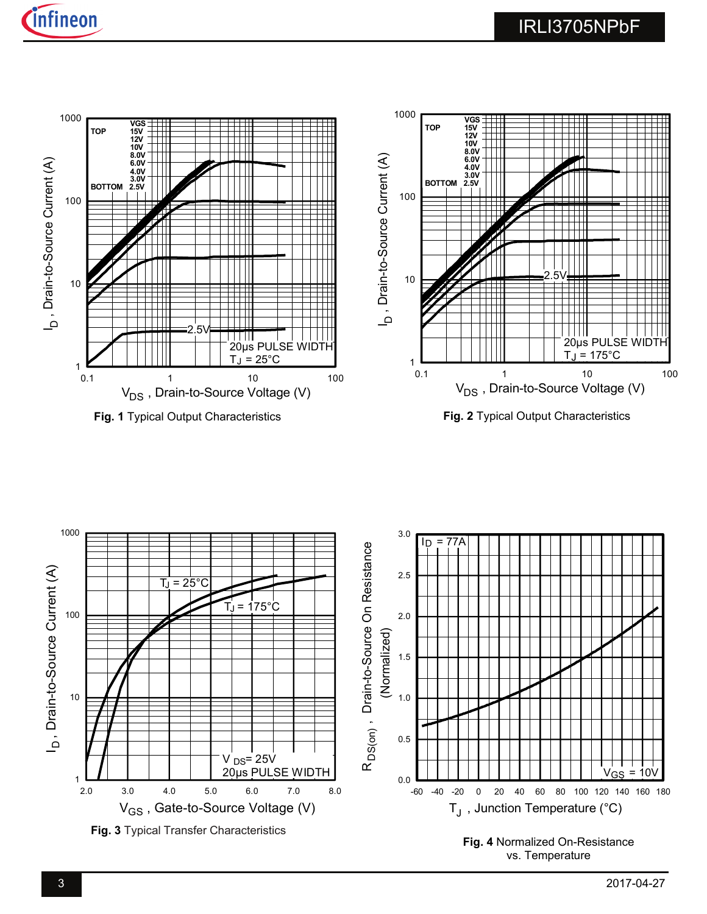





**Fig. 4** Normalized On-Resistance vs. Temperature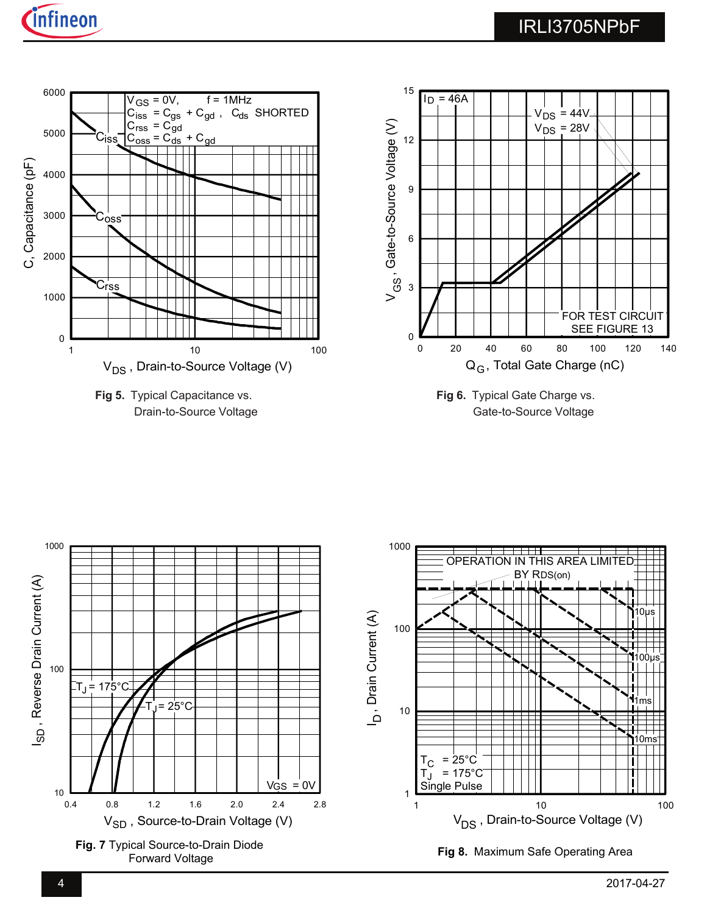

Drain-to-Source Voltage





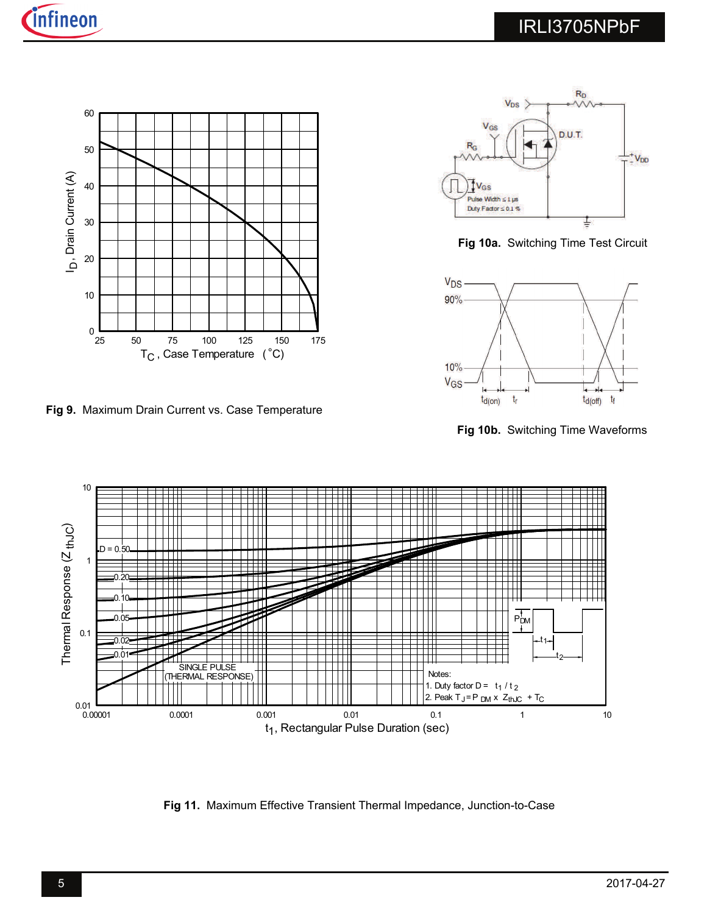

**Fig 9.** Maximum Drain Current vs. Case Temperature



**Fig 10a.** Switching Time Test Circuit



**Fig 10b.** Switching Time Waveforms



**Fig 11.** Maximum Effective Transient Thermal Impedance, Junction-to-Case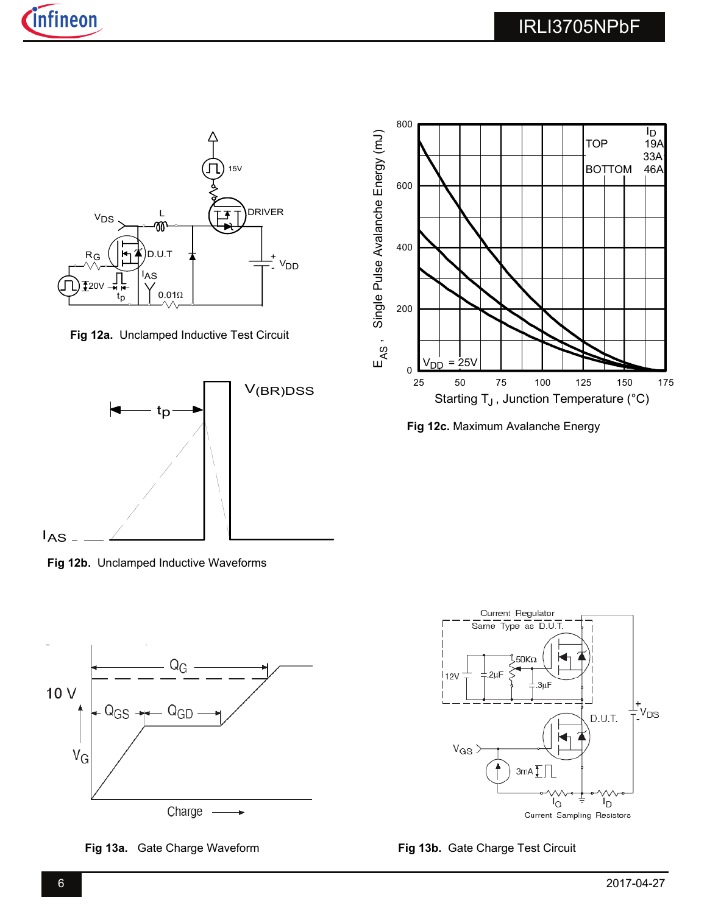

**Fig 12a.** Unclamped Inductive Test Circuit



**Fig 12b.** Unclamped Inductive Waveforms





**Fig 12c.** Maximum Avalanche Energy



**Fig 13a.** Gate Charge Waveform **Fig 13b.** Gate Charge Test Circuit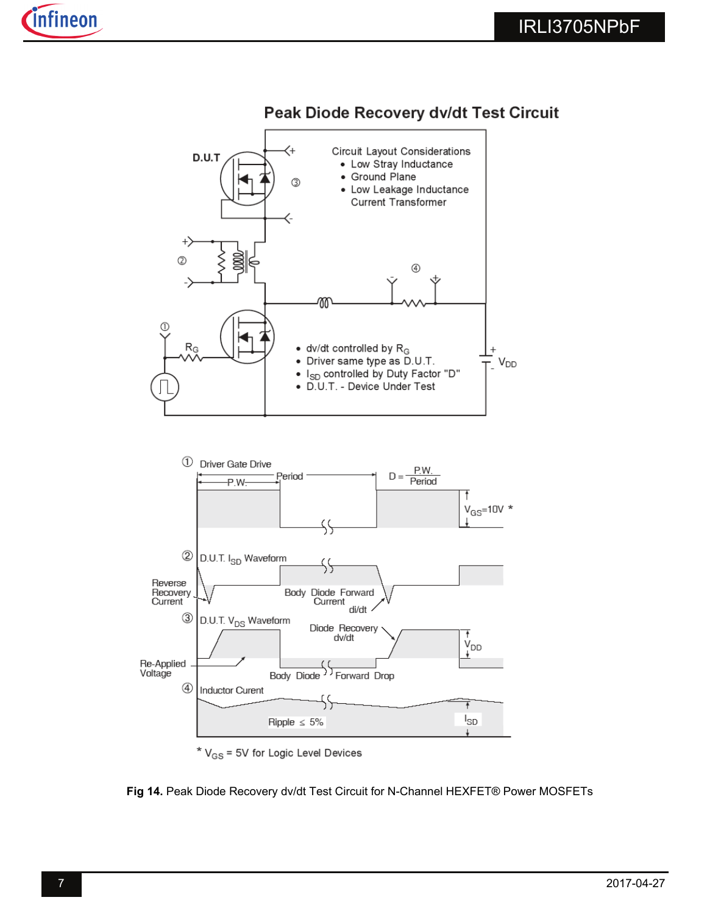

### Peak Diode Recovery dv/dt Test Circuit

\*  $V_{GS}$  = 5V for Logic Level Devices

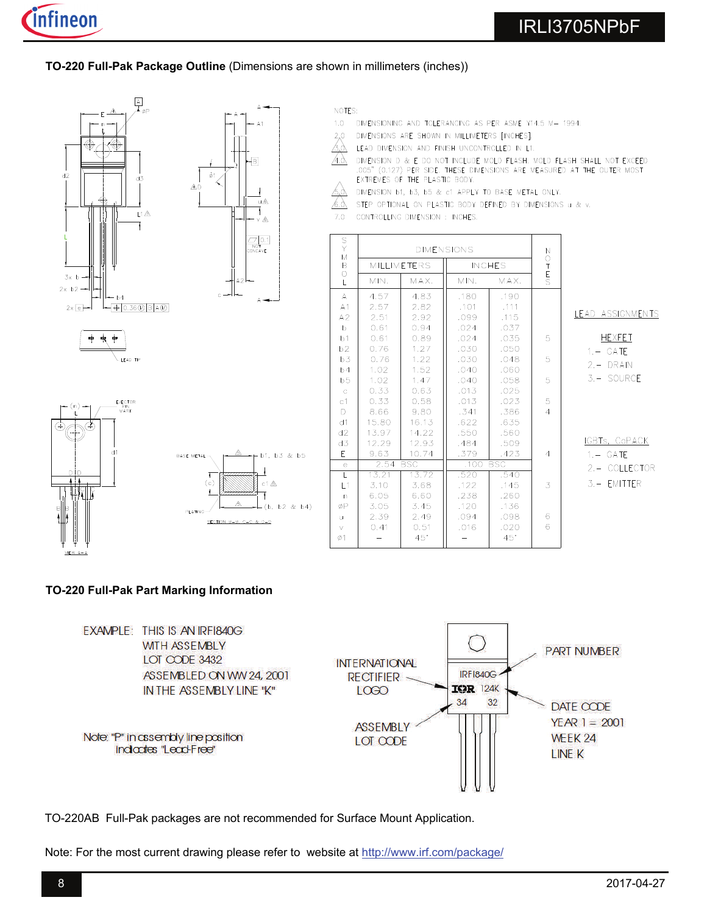### **TO-220 Full-Pak Package Outline** (Dimensions are shown in millimeters (inches))



- NOTES:
- $1.0$ DIMENSIONING AND TOLERANCING AS PER ASME Y14.5 M- 1994.
- DIMENSIONS ARE SHOWN IN MILLIMETERS [INCHES].  $2,0$
- ᠘᠔ LEAD DIMENSION AND FINISH UNCONTROLLED IN L1.
- DIMENSION D & E DO NOT INCLUDE MOLD FLASH. MOLD FLASH SHALL NOT EXCEED<br>.005" (0.127) PER SIDE. THESE DIMENSIONS ARE MEASURED AT THE OUTER MOST <u>A.d.</u> EXTREMES OF THE PLASTIC BODY.
	- DIMENSION b1, b3, b5 & c1 APPLY TO BASE METAL ONLY.
- STEP OPTIONAL ON PLASTIC BODY DEFINED BY DIMENSIONS u & v.  $60<sub>0</sub>$
- $7.0$ CONTROLLING DIMENSION : INCHES.

| S<br>Y<br>M             | <b>DIMENSIONS</b> |                    |               | $\mathsf{N}$ |                  |
|-------------------------|-------------------|--------------------|---------------|--------------|------------------|
| B                       |                   | <b>MILLIMETERS</b> | <b>INCHES</b> |              | O<br>T<br>E<br>S |
| $\circ$<br>$\mathbb{L}$ | MIN.              | MAX.               | MIN.          | MAX.         |                  |
| A                       | 4.57              | 4.83               | .180          | .190         |                  |
| A1                      | 2.57              | 2.82               | .101          | .111         |                  |
| A2                      | 2.51              | 2.92               | .099          | .115         |                  |
| b                       | 0.61              | 0.94               | .024          | .037         |                  |
| b1                      | 0.61              | 0.89               | .024          | .035         | 5                |
| b2                      | 0.76              | 1.27               | .030          | .050         |                  |
| b3                      | 0.76              | 1.22               | .030          | .048         | 5                |
| b4                      | 1.02              | 1.52               | .040          | .060         |                  |
| b <sub>5</sub>          | 1.02              | 1.47               | .040          | .058         | 5                |
| $\mathbf C$             | 0.33              | 0.63               | .013          | .025         |                  |
| C <sub>1</sub>          | 0.33              | 0.58               | .013          | .023         | 5                |
| D                       | 8.66              | 9.80               | .341          | .386         | $\overline{4}$   |
| d1                      | 15.80             | 16.13              | .622          | .635         |                  |
| d2                      | 13.97             | 14.22              | .550          | .560         |                  |
| d3                      | 12.29             | 12.93              | .484          | .509         |                  |
| E                       | 9.63              | 10.74              | .379          | .423         | $\overline{4}$   |
| $\epsilon$              | 2.54              | <b>BSC</b>         | .100          | <b>BSC</b>   |                  |
| L                       | 13.21             | 13.72              | .520          | .540         |                  |
| L1                      | 3,10              | 3.68               | .122          | .145         | 3                |
| n                       | 6.05              | 6.60               | .238          | .260         |                  |
| øP                      | 3.05              | 3.45               | .120          | .136         |                  |
| ū                       | 2.39              | 2.49               | .094          | .098         | 6                |
| $\vee$                  | 0,41              | 0.51               | .016          | .020         | 6                |
| Ø1                      |                   | $45^\circ$         |               | $45^\circ$   |                  |

#### LEAD ASSIGNMENTS

| HEXFET     |
|------------|
| 1. — GATE  |
| 2.– DRAIN  |
| 3.– SOURCE |

### IGBTs, CoPACK

- 2.- COLLECTOR
- $3 EMITTER$

### **TO-220 Full-Pak Part Marking Information**

EXAMPLE: THIS IS AN IRFI840G **WITH ASSEMBLY PART NUMBER** LOT CODE 3432 **INTERNATIONAL IRF1840G** ASSEMBLED ON WW 24, 2001 **RECTIFIER IGR 124K** IN THE ASSEMBLY LINE "K" LOGO 34 32 DATE CODE  $YEAR = 2001$ **ASSEMBLY** Note: "P" in assembly line position WEEK 24 LOT CODE indicates "Lead-Free" LINE K

TO-220AB Full-Pak packages are not recommended for Surface Mount Application.

Note: For the most current drawing please refer to website at http://www.irf.com/package/

 $(b, b2 & b4)$ 

SECTION B-B, C-C & D-D